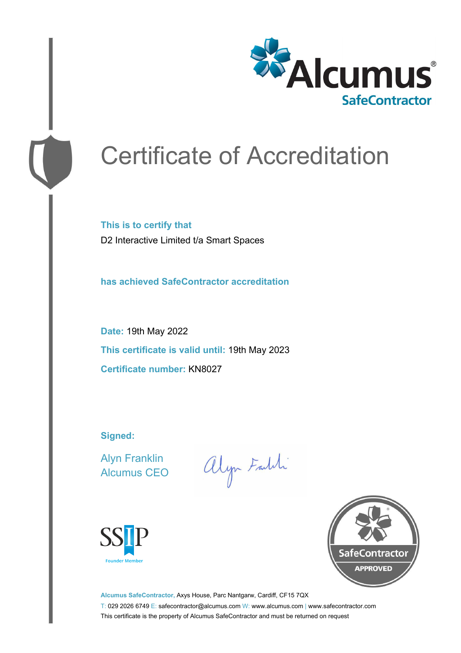

# Certificate of Accreditation

**This is to certify that** D2 Interactive Limited t/a Smart Spaces

**has achieved SafeContractor accreditation**

**Date:** 19th May 2022 **This certificate is valid until:** 19th May 2023 **Certificate number:** KN8027

**Signed:**

Alyn Franklin Alcumus CEO

alyn Faith





**Alcumus SafeContractor,** Axys House, Parc Nantgarw, Cardiff, CF15 7QX T: 029 2026 6749 E: safecontractor@alcumus.com W: www.alcumus.com | www.safecontractor.com This certificate is the property of Alcumus SafeContractor and must be returned on request